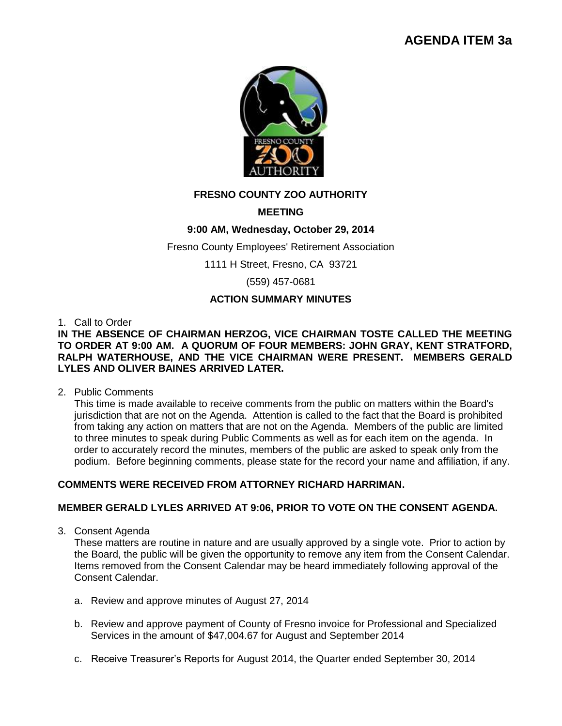# **AGENDA ITEM 3a**



# **FRESNO COUNTY ZOO AUTHORITY**

## **MEETING**

## **9:00 AM, Wednesday, October 29, 2014**

Fresno County Employees' Retirement Association

1111 H Street, Fresno, CA 93721

(559) 457-0681

## **ACTION SUMMARY MINUTES**

1. Call to Order

#### **IN THE ABSENCE OF CHAIRMAN HERZOG, VICE CHAIRMAN TOSTE CALLED THE MEETING TO ORDER AT 9:00 AM. A QUORUM OF FOUR MEMBERS: JOHN GRAY, KENT STRATFORD, RALPH WATERHOUSE, AND THE VICE CHAIRMAN WERE PRESENT. MEMBERS GERALD LYLES AND OLIVER BAINES ARRIVED LATER.**

#### 2. Public Comments

This time is made available to receive comments from the public on matters within the Board's jurisdiction that are not on the Agenda. Attention is called to the fact that the Board is prohibited from taking any action on matters that are not on the Agenda. Members of the public are limited to three minutes to speak during Public Comments as well as for each item on the agenda. In order to accurately record the minutes, members of the public are asked to speak only from the podium. Before beginning comments, please state for the record your name and affiliation, if any.

## **COMMENTS WERE RECEIVED FROM ATTORNEY RICHARD HARRIMAN.**

#### **MEMBER GERALD LYLES ARRIVED AT 9:06, PRIOR TO VOTE ON THE CONSENT AGENDA.**

3. Consent Agenda

These matters are routine in nature and are usually approved by a single vote. Prior to action by the Board, the public will be given the opportunity to remove any item from the Consent Calendar. Items removed from the Consent Calendar may be heard immediately following approval of the Consent Calendar.

- a. Review and approve minutes of August 27, 2014
- b. Review and approve payment of County of Fresno invoice for Professional and Specialized Services in the amount of \$47,004.67 for August and September 2014
- c. Receive Treasurer's Reports for August 2014, the Quarter ended September 30, 2014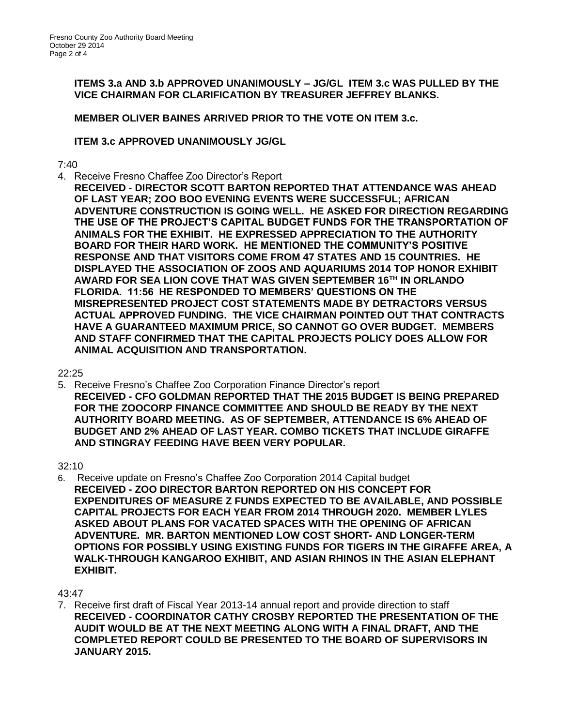**ITEMS 3.a AND 3.b APPROVED UNANIMOUSLY – JG/GL ITEM 3.c WAS PULLED BY THE VICE CHAIRMAN FOR CLARIFICATION BY TREASURER JEFFREY BLANKS.** 

**MEMBER OLIVER BAINES ARRIVED PRIOR TO THE VOTE ON ITEM 3.c.** 

# **ITEM 3.c APPROVED UNANIMOUSLY JG/GL**

7:40

- 4. Receive Fresno Chaffee Zoo Director's Report
	- **RECEIVED - DIRECTOR SCOTT BARTON REPORTED THAT ATTENDANCE WAS AHEAD OF LAST YEAR; ZOO BOO EVENING EVENTS WERE SUCCESSFUL; AFRICAN ADVENTURE CONSTRUCTION IS GOING WELL. HE ASKED FOR DIRECTION REGARDING THE USE OF THE PROJECT'S CAPITAL BUDGET FUNDS FOR THE TRANSPORTATION OF ANIMALS FOR THE EXHIBIT. HE EXPRESSED APPRECIATION TO THE AUTHORITY BOARD FOR THEIR HARD WORK. HE MENTIONED THE COMMUNITY'S POSITIVE RESPONSE AND THAT VISITORS COME FROM 47 STATES AND 15 COUNTRIES. HE DISPLAYED THE ASSOCIATION OF ZOOS AND AQUARIUMS 2014 TOP HONOR EXHIBIT AWARD FOR SEA LION COVE THAT WAS GIVEN SEPTEMBER 16TH IN ORLANDO FLORIDA. 11:56 HE RESPONDED TO MEMBERS' QUESTIONS ON THE MISREPRESENTED PROJECT COST STATEMENTS MADE BY DETRACTORS VERSUS ACTUAL APPROVED FUNDING. THE VICE CHAIRMAN POINTED OUT THAT CONTRACTS HAVE A GUARANTEED MAXIMUM PRICE, SO CANNOT GO OVER BUDGET. MEMBERS AND STAFF CONFIRMED THAT THE CAPITAL PROJECTS POLICY DOES ALLOW FOR ANIMAL ACQUISITION AND TRANSPORTATION.**

 $22.25$ 

5. Receive Fresno's Chaffee Zoo Corporation Finance Director's report **RECEIVED - CFO GOLDMAN REPORTED THAT THE 2015 BUDGET IS BEING PREPARED FOR THE ZOOCORP FINANCE COMMITTEE AND SHOULD BE READY BY THE NEXT AUTHORITY BOARD MEETING. AS OF SEPTEMBER, ATTENDANCE IS 6% AHEAD OF BUDGET AND 2% AHEAD OF LAST YEAR. COMBO TICKETS THAT INCLUDE GIRAFFE AND STINGRAY FEEDING HAVE BEEN VERY POPULAR.**

32:10

6. Receive update on Fresno's Chaffee Zoo Corporation 2014 Capital budget **RECEIVED - ZOO DIRECTOR BARTON REPORTED ON HIS CONCEPT FOR EXPENDITURES OF MEASURE Z FUNDS EXPECTED TO BE AVAILABLE, AND POSSIBLE CAPITAL PROJECTS FOR EACH YEAR FROM 2014 THROUGH 2020. MEMBER LYLES ASKED ABOUT PLANS FOR VACATED SPACES WITH THE OPENING OF AFRICAN ADVENTURE. MR. BARTON MENTIONED LOW COST SHORT- AND LONGER-TERM OPTIONS FOR POSSIBLY USING EXISTING FUNDS FOR TIGERS IN THE GIRAFFE AREA, A WALK-THROUGH KANGAROO EXHIBIT, AND ASIAN RHINOS IN THE ASIAN ELEPHANT EXHIBIT.**

43:47

7. Receive first draft of Fiscal Year 2013-14 annual report and provide direction to staff **RECEIVED - COORDINATOR CATHY CROSBY REPORTED THE PRESENTATION OF THE AUDIT WOULD BE AT THE NEXT MEETING ALONG WITH A FINAL DRAFT, AND THE COMPLETED REPORT COULD BE PRESENTED TO THE BOARD OF SUPERVISORS IN JANUARY 2015.**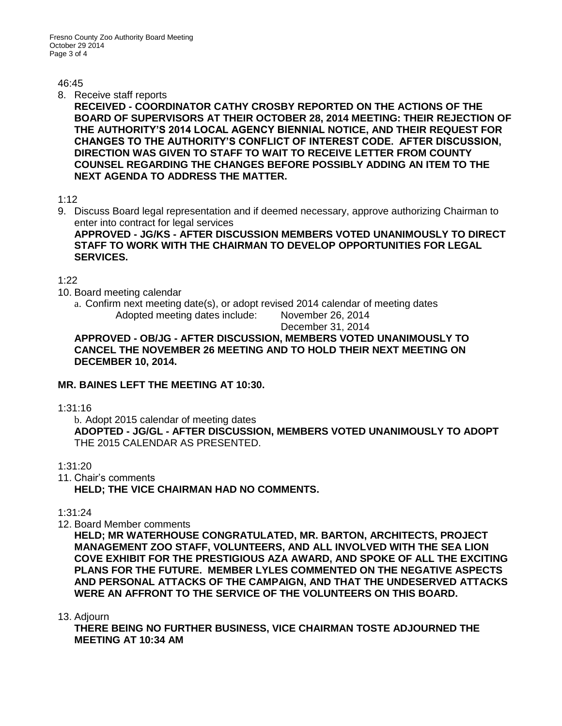#### $46.45$

8. Receive staff reports

**RECEIVED - COORDINATOR CATHY CROSBY REPORTED ON THE ACTIONS OF THE BOARD OF SUPERVISORS AT THEIR OCTOBER 28, 2014 MEETING: THEIR REJECTION OF THE AUTHORITY'S 2014 LOCAL AGENCY BIENNIAL NOTICE, AND THEIR REQUEST FOR CHANGES TO THE AUTHORITY'S CONFLICT OF INTEREST CODE. AFTER DISCUSSION, DIRECTION WAS GIVEN TO STAFF TO WAIT TO RECEIVE LETTER FROM COUNTY COUNSEL REGARDING THE CHANGES BEFORE POSSIBLY ADDING AN ITEM TO THE NEXT AGENDA TO ADDRESS THE MATTER.** 

## 1:12

9. Discuss Board legal representation and if deemed necessary, approve authorizing Chairman to enter into contract for legal services

**APPROVED - JG/KS - AFTER DISCUSSION MEMBERS VOTED UNANIMOUSLY TO DIRECT STAFF TO WORK WITH THE CHAIRMAN TO DEVELOP OPPORTUNITIES FOR LEGAL SERVICES.**

# 1:22

- 10. Board meeting calendar
	- a. Confirm next meeting date(s), or adopt revised 2014 calendar of meeting dates Adopted meeting dates include: November 26, 2014

December 31, 2014

**APPROVED - OB/JG - AFTER DISCUSSION, MEMBERS VOTED UNANIMOUSLY TO CANCEL THE NOVEMBER 26 MEETING AND TO HOLD THEIR NEXT MEETING ON DECEMBER 10, 2014.**

# **MR. BAINES LEFT THE MEETING AT 10:30.**

1:31:16

b. Adopt 2015 calendar of meeting dates **ADOPTED - JG/GL - AFTER DISCUSSION, MEMBERS VOTED UNANIMOUSLY TO ADOPT**  THE 2015 CALENDAR AS PRESENTED.

# 1:31:20

11. Chair's comments **HELD; THE VICE CHAIRMAN HAD NO COMMENTS.**

1:31:24

12. Board Member comments

**HELD; MR WATERHOUSE CONGRATULATED, MR. BARTON, ARCHITECTS, PROJECT MANAGEMENT ZOO STAFF, VOLUNTEERS, AND ALL INVOLVED WITH THE SEA LION COVE EXHIBIT FOR THE PRESTIGIOUS AZA AWARD, AND SPOKE OF ALL THE EXCITING PLANS FOR THE FUTURE. MEMBER LYLES COMMENTED ON THE NEGATIVE ASPECTS AND PERSONAL ATTACKS OF THE CAMPAIGN, AND THAT THE UNDESERVED ATTACKS WERE AN AFFRONT TO THE SERVICE OF THE VOLUNTEERS ON THIS BOARD.** 

13. Adjourn

**THERE BEING NO FURTHER BUSINESS, VICE CHAIRMAN TOSTE ADJOURNED THE MEETING AT 10:34 AM**